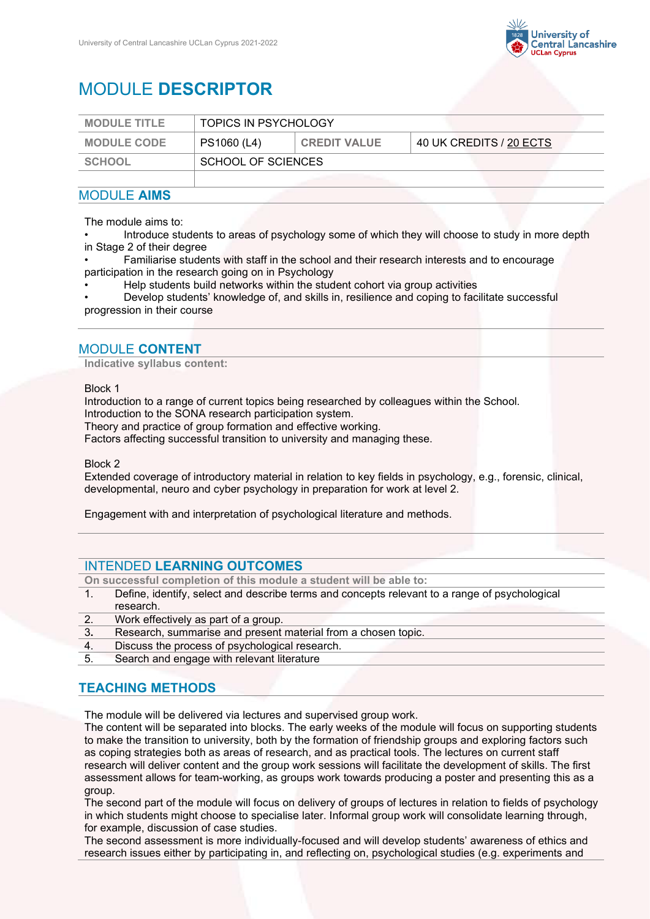

# MODULE **DESCRIPTOR**

| <b>MODULE TITLE</b> | <b>TOPICS IN PSYCHOLOGY</b> |                     |                         |
|---------------------|-----------------------------|---------------------|-------------------------|
| <b>MODULE CODE</b>  | PS1060 (L4)                 | <b>CREDIT VALUE</b> | 40 UK CREDITS / 20 ECTS |
| <b>SCHOOL</b>       | SCHOOL OF SCIENCES          |                     |                         |
|                     |                             |                     |                         |

## MODULE **AIMS**

The module aims to:

• Introduce students to areas of psychology some of which they will choose to study in more depth in Stage 2 of their degree

• Familiarise students with staff in the school and their research interests and to encourage participation in the research going on in Psychology

• Help students build networks within the student cohort via group activities

• Develop students' knowledge of, and skills in, resilience and coping to facilitate successful progression in their course

## MODULE **CONTENT**

**Indicative syllabus content:**

#### Block 1

Introduction to a range of current topics being researched by colleagues within the School.

Introduction to the SONA research participation system.

Theory and practice of group formation and effective working.

Factors affecting successful transition to university and managing these.

Block 2

Extended coverage of introductory material in relation to key fields in psychology, e.g., forensic, clinical, developmental, neuro and cyber psychology in preparation for work at level 2.

Engagement with and interpretation of psychological literature and methods.

## INTENDED **LEARNING OUTCOMES**

**On successful completion of this module a student will be able to:**

- Define, identify, select and describe terms and concepts relevant to a range of psychological research.
- 2. Work effectively as part of a group.
- 3**.** Research, summarise and present material from a chosen topic.
- 4. Discuss the process of psychological research.
- 5. Search and engage with relevant literature

## **TEACHING METHODS**

The module will be delivered via lectures and supervised group work.

The content will be separated into blocks. The early weeks of the module will focus on supporting students to make the transition to university, both by the formation of friendship groups and exploring factors such as coping strategies both as areas of research, and as practical tools. The lectures on current staff research will deliver content and the group work sessions will facilitate the development of skills. The first assessment allows for team-working, as groups work towards producing a poster and presenting this as a group.

The second part of the module will focus on delivery of groups of lectures in relation to fields of psychology in which students might choose to specialise later. Informal group work will consolidate learning through, for example, discussion of case studies.

The second assessment is more individually-focused and will develop students' awareness of ethics and research issues either by participating in, and reflecting on, psychological studies (e.g. experiments and